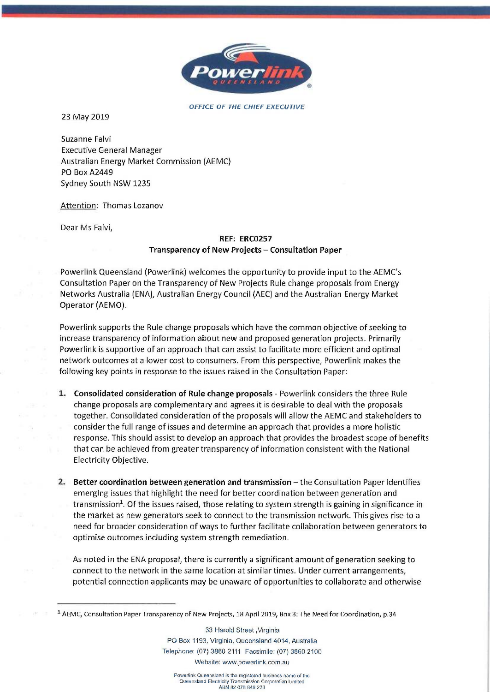

OFFICE OF THE CHIEF EXECUTIVE

23 May 2019

Suzanne Falvi Executive General Manager Australian Energy Market Commission (AEMC) PO Box A2449 Sydney South NSW 1235

Attention: Thomas Lozanov

Dear Ms Falvi,

## REF: ERC0257 Transparency of New Projects - Consultation Paper

Powerlink Queensland (Powerlink) welcomes the opportunity to provide input to the AEMC's Consultation Paper on the Transparency of New Projects Rule change proposals from Energy Networks Australia (ENA), Australian Energy Council (AEC) and the Australian Energy Market Operator (AEMO).

Powerlink supports the Rule change proposals which have the common objective of seeking to increase transparency of information about new and proposed generation projects. Primarily Powerlink is supportive of an approach that can assist to facilitate more efficient and optimal network outcomes at a lower cost to consumers. From this perspective, Powerlink makes the following key points in response to the issues raised in the Consultation Paper:

- <sup>1</sup> Consolidated consideration of Rule change proposals Powerlink considers the three Rule change proposals are complementary and agrees it is desirable to deal with the proposals together. Consolidated consideration of the proposals will allow the AEMC and stakeholders to consider the full range of issues and determine an approach that provides a more holistic response. This should assist to develop an approach that provides the broadest scope of benefits that can be achieved from greater transparency of information consistent with the National Electricity Objective.
- 2. Better coordination between generation and transmission  $-$  the Consultation Paper identifies emerging issues that highlight the need for better coordination between generation and transmission<sup>1</sup>. Of the issues raised, those relating to system strength is gaining in significance in the market as new generators seek to connect to the transmission network. This gives rise to a need for broader consideration of ways to further facilitate collaboration between generators to optimise outcomes including system strength remediation.

As noted in the ENA proposal, there is currently a significant amount of generation seeking to connect to the network in the same location at similar times. Under current arrangements, potential connection applicants may be unaware of opportunities to collaborate and otherwise

33 Harold Street ,Virginia PO Box 1193, Virginia, Queensland 4014, Australia Telephone: (07) 3860 2111 Facsimile: (07) 3860 2100 Website: www.powerlink.com.au

<sup>1</sup> AEMC, Consultation Paper Transparency of New Projects, 18 April 2019, Box 3: The Need for Coordination, p.34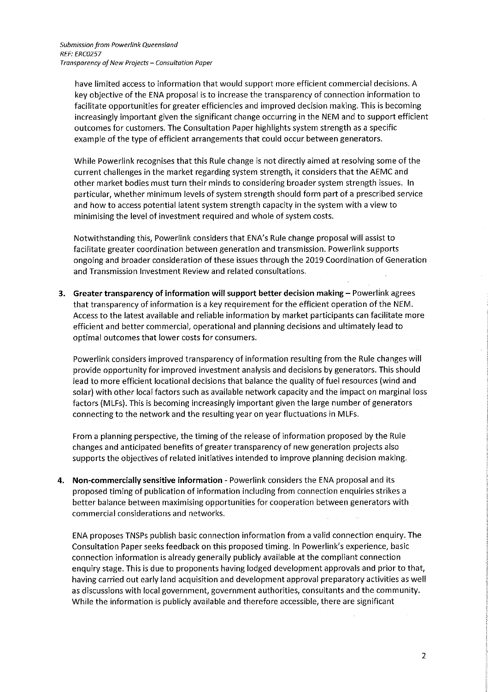have limited access to information that would support more efficient commercial decisions. A key objective of the ENA proposal is to increase the transparency of connection information to facilitate opportunities for greater efficiencies and improved decision making. This is becoming increasingly important given the significant change occurring in the NEM and to support efficient outcomes for customers. The Consultation Paper highlights system strength as a specific example of the type of efficient arrangements that could occur between generators.

While Powerlink recognises that this Rule change is not directly aimed at resolving some of the current challenges in the market regarding system strength, it considers that the AEMC and other market bodies must turn their minds to considering broader system strength issues. In particular, whether minimum levels of system strength should form part of a prescribed service and how to access potential latent system strength capacity in the system with a view to minimising the level of investment required and whole of system costs.

Notwithstanding this, Powerlink considers that ENA's Rule change proposal will assist to facilitate greater coordination between generation and transmission. Powerlink supports ongoing and broader consideration of these issues through the 2019 Coordination of Generation and Transmission Investment Review and related consultations.

3. Greater transparency of information will support better decision making - Powerlink agrees that transparency of information is a key requirement for the efficient operation of the NEM. Access to the latest available and reliable information by market participants can facilitate more efficient and better commercial, operational and planning decisions and ultimately lead to optimal outcomes that lower costs for consumers.

Powerlink considers improved transparency of information resulting from the Rule changes will provide opportunity for improved investment analysis and decisions by generators. This should lead to more efficient locational decisions that balance the quality of fuel resources (wind and solar) with other local factors such as available network capacity and the impact on marginal loss factors (MLFs). This is becoming increasingly important given the large number of generators connecting to the network and the resulting year on year fluctuations in MLFs.

From a planning perspective, the timing of the release of information proposed by the Rule changes and anticipated benefits of greater transparency of new generation projects also supports the objectives of related initiatives intended to improve planning decision making.

4. Non-commercially sensitive information - Powerlink considers the ENA proposal and its proposed timing of publication of information including from connection enquiries strikes a better balance between maximising opportunities for cooperation between generators with commercial considerations and networks.

ENA proposes TNSPs publish basic connection information from a valid connection enquiry. The Consultation Paper seeks feedback on this proposed timing. In Powerlink's experience, basic connection information is already generally publicly available at the compliant connection enquiry stage. This is due to proponents having lodged development approvals and prior to that, having carried out early land acquisition and development approval preparatory activities as well as discussions with local government, government authorities, consultants and the community. While the information is publicly available and therefore accessible, there are significant